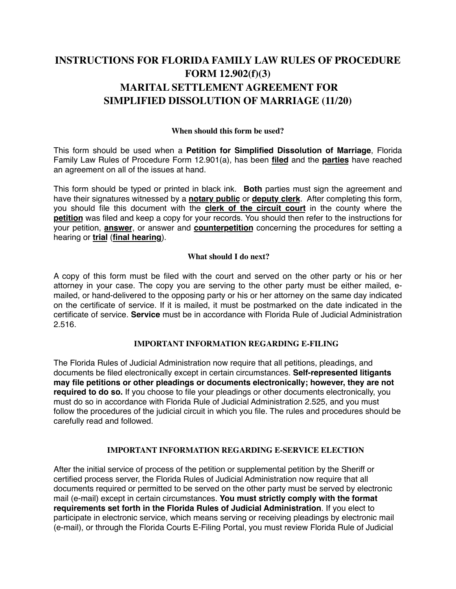# **INSTRUCTIONS FOR FLORIDA FAMILY LAW RULES OF PROCEDURE FORM 12.902(f)(3) MARITAL SETTLEMENT AGREEMENT FOR SIMPLIFIED DISSOLUTION OF MARRIAGE (11/20)**

### **When should this form be used?**

This form should be used when a **Petition for Simplified Dissolution of Marriage**, Florida Family Law Rules of Procedure Form 12.901(a), has been **filed** and the **parties** have reached an agreement on all of the issues at hand.

This form should be typed or printed in black ink. **Both** parties must sign the agreement and have their signatures witnessed by a **notary public** or **deputy clerk**. After completing this form, you should file this document with the **clerk of the circuit court** in the county where the **petition** was filed and keep a copy for your records. You should then refer to the instructions for your petition, **answer**, or answer and **counterpetition** concerning the procedures for setting a hearing or **trial** (**final hearing**).

#### **What should I do next?**

A copy of this form must be filed with the court and served on the other party or his or her attorney in your case. The copy you are serving to the other party must be either mailed, emailed, or hand-delivered to the opposing party or his or her attorney on the same day indicated on the certificate of service. If it is mailed, it must be postmarked on the date indicated in the certificate of service. **Service** must be in accordance with Florida Rule of Judicial Administration 2.516.

#### **IMPORTANT INFORMATION REGARDING E-FILING**

The Florida Rules of Judicial Administration now require that all petitions, pleadings, and documents be filed electronically except in certain circumstances. **Self-represented litigants may file petitions or other pleadings or documents electronically; however, they are not required to do so.** If you choose to file your pleadings or other documents electronically, you must do so in accordance with Florida Rule of Judicial Administration 2.525, and you must follow the procedures of the judicial circuit in which you file. The rules and procedures should be carefully read and followed.

# **IMPORTANT INFORMATION REGARDING E-SERVICE ELECTION**

After the initial service of process of the petition or supplemental petition by the Sheriff or certified process server, the Florida Rules of Judicial Administration now require that all documents required or permitted to be served on the other party must be served by electronic mail (e-mail) except in certain circumstances. **You must strictly comply with the format requirements set forth in the Florida Rules of Judicial Administration**. If you elect to participate in electronic service, which means serving or receiving pleadings by electronic mail (e-mail), or through the Florida Courts E-Filing Portal, you must review Florida Rule of Judicial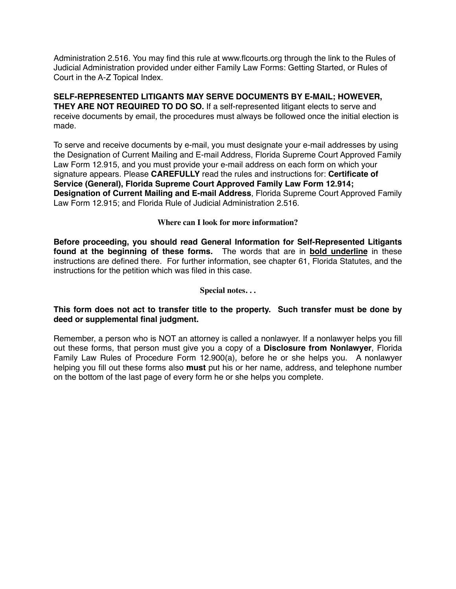Administration 2.516. You may find this rule at www.flcourts.org through the link to the Rules of Judicial Administration provided under either Family Law Forms: Getting Started, or Rules of Court in the A-Z Topical Index.

**SELF-REPRESENTED LITIGANTS MAY SERVE DOCUMENTS BY E-MAIL; HOWEVER, THEY ARE NOT REQUIRED TO DO SO.** If a self-represented litigant elects to serve and receive documents by email, the procedures must always be followed once the initial election is made.

To serve and receive documents by e-mail, you must designate your e-mail addresses by using the Designation of Current Mailing and E-mail Address, Florida Supreme Court Approved Family Law Form 12.915, and you must provide your e-mail address on each form on which your signature appears. Please **CAREFULLY** read the rules and instructions for: **Certificate of Service (General), Florida Supreme Court Approved Family Law Form 12.914; Designation of Current Mailing and E-mail Address**, Florida Supreme Court Approved Family Law Form 12.915; and Florida Rule of Judicial Administration 2.516.

#### **Where can I look for more information?**

**Before proceeding, you should read General Information for Self‑Represented Litigants found at the beginning of these forms.** The words that are in **bold underline** in these instructions are defined there. For further information, see chapter 61, Florida Statutes, and the instructions for the petition which was filed in this case.

#### **Special notes. . .**

# **This form does not act to transfer title to the property. Such transfer must be done by deed or supplemental final judgment.**

Remember, a person who is NOT an attorney is called a nonlawyer. If a nonlawyer helps you fill out these forms, that person must give you a copy of a **Disclosure from Nonlawyer**, Florida Family Law Rules of Procedure Form 12.900(a), before he or she helps you. A nonlawyer helping you fill out these forms also **must** put his or her name, address, and telephone number on the bottom of the last page of every form he or she helps you complete.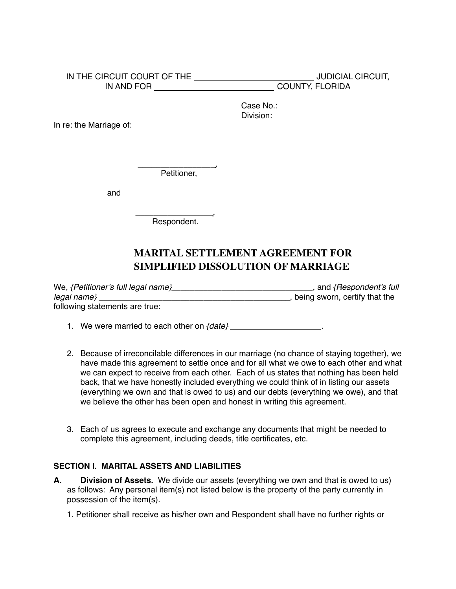IN THE CIRCUIT COURT OF THE JUDICIAL CIRCUIT, IN AND FOR COUNTY TO A REPORT OF THE COUNTY OF THE COUNTY OF THE COUNTY OF THE COUNTY OF THE COUNTY OF THE COUNTY OF THE COUNTY OF THE COUNTY OF THE COUNTY OF THE COUNTY OF THE COUNTY OF THE COUNTY OF THE COUNTY OF THE COU

Case No.: Division:

In re: the Marriage of:

 $\overline{\phantom{a}}$  , and the set of the set of the set of the set of the set of the set of the set of the set of the set of the set of the set of the set of the set of the set of the set of the set of the set of the set of the s Petitioner,

and

 \_\_\_\_\_\_\_\_\_\_\_\_\_\_\_\_\_, Respondent.

# **MARITAL SETTLEMENT AGREEMENT FOR SIMPLIFIED DISSOLUTION OF MARRIAGE**

We, *{Petitioner's full legal name}*\_\_\_\_\_\_\_\_\_\_\_\_\_\_\_\_\_\_\_\_\_\_\_\_\_\_\_\_\_\_\_, and *{Respondent's full legal name* } following statements are true:

1. We were married to each other on *{date}* .

- 2. Because of irreconcilable differences in our marriage (no chance of staying together), we have made this agreement to settle once and for all what we owe to each other and what we can expect to receive from each other. Each of us states that nothing has been held back, that we have honestly included everything we could think of in listing our assets (everything we own and that is owed to us) and our debts (everything we owe), and that we believe the other has been open and honest in writing this agreement.
- 3. Each of us agrees to execute and exchange any documents that might be needed to complete this agreement, including deeds, title certificates, etc.

# **SECTION I. MARITAL ASSETS AND LIABILITIES**

**A. Division of Assets.** We divide our assets (everything we own and that is owed to us) as follows: Any personal item(s) not listed below is the property of the party currently in possession of the item(s).

1. Petitioner shall receive as his/her own and Respondent shall have no further rights or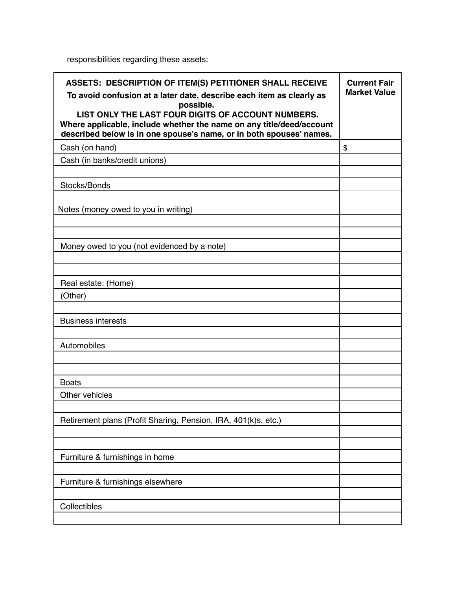responsibilities regarding these assets:

| <b>ASSETS: DESCRIPTION OF ITEM(S) PETITIONER SHALL RECEIVE</b><br>To avoid confusion at a later date, describe each item as clearly as<br>possible.<br>LIST ONLY THE LAST FOUR DIGITS OF ACCOUNT NUMBERS.<br>Where applicable, include whether the name on any title/deed/account<br>described below is in one spouse's name, or in both spouses' names. | <b>Current Fair</b><br><b>Market Value</b> |
|----------------------------------------------------------------------------------------------------------------------------------------------------------------------------------------------------------------------------------------------------------------------------------------------------------------------------------------------------------|--------------------------------------------|
| Cash (on hand)                                                                                                                                                                                                                                                                                                                                           | \$                                         |
| Cash (in banks/credit unions)                                                                                                                                                                                                                                                                                                                            |                                            |
|                                                                                                                                                                                                                                                                                                                                                          |                                            |
| Stocks/Bonds                                                                                                                                                                                                                                                                                                                                             |                                            |
|                                                                                                                                                                                                                                                                                                                                                          |                                            |
| Notes (money owed to you in writing)                                                                                                                                                                                                                                                                                                                     |                                            |
|                                                                                                                                                                                                                                                                                                                                                          |                                            |
|                                                                                                                                                                                                                                                                                                                                                          |                                            |
| Money owed to you (not evidenced by a note)                                                                                                                                                                                                                                                                                                              |                                            |
|                                                                                                                                                                                                                                                                                                                                                          |                                            |
|                                                                                                                                                                                                                                                                                                                                                          |                                            |
| Real estate: (Home)                                                                                                                                                                                                                                                                                                                                      |                                            |
| (Other)                                                                                                                                                                                                                                                                                                                                                  |                                            |
| <b>Business interests</b>                                                                                                                                                                                                                                                                                                                                |                                            |
|                                                                                                                                                                                                                                                                                                                                                          |                                            |
| Automobiles                                                                                                                                                                                                                                                                                                                                              |                                            |
|                                                                                                                                                                                                                                                                                                                                                          |                                            |
|                                                                                                                                                                                                                                                                                                                                                          |                                            |
| <b>Boats</b>                                                                                                                                                                                                                                                                                                                                             |                                            |
| Other vehicles                                                                                                                                                                                                                                                                                                                                           |                                            |
|                                                                                                                                                                                                                                                                                                                                                          |                                            |
| Retirement plans (Profit Sharing, Pension, IRA, 401(k)s, etc.)                                                                                                                                                                                                                                                                                           |                                            |
|                                                                                                                                                                                                                                                                                                                                                          |                                            |
|                                                                                                                                                                                                                                                                                                                                                          |                                            |
| Furniture & furnishings in home                                                                                                                                                                                                                                                                                                                          |                                            |
|                                                                                                                                                                                                                                                                                                                                                          |                                            |
| Furniture & furnishings elsewhere                                                                                                                                                                                                                                                                                                                        |                                            |
|                                                                                                                                                                                                                                                                                                                                                          |                                            |
| Collectibles                                                                                                                                                                                                                                                                                                                                             |                                            |
|                                                                                                                                                                                                                                                                                                                                                          |                                            |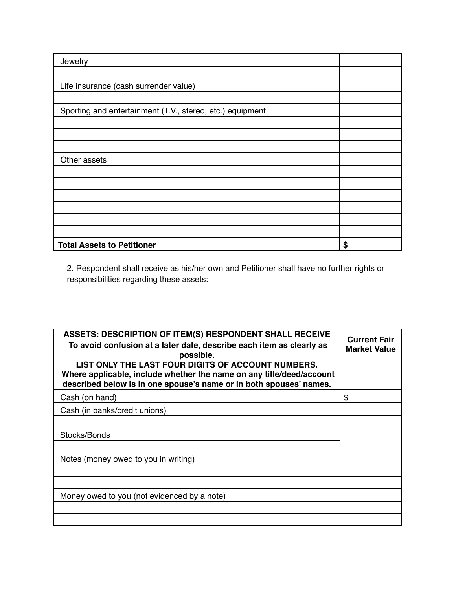| Jewelry                                                   |    |
|-----------------------------------------------------------|----|
|                                                           |    |
| Life insurance (cash surrender value)                     |    |
|                                                           |    |
| Sporting and entertainment (T.V., stereo, etc.) equipment |    |
|                                                           |    |
|                                                           |    |
|                                                           |    |
| Other assets                                              |    |
|                                                           |    |
|                                                           |    |
|                                                           |    |
|                                                           |    |
|                                                           |    |
|                                                           |    |
| <b>Total Assets to Petitioner</b>                         | \$ |

2. Respondent shall receive as his/her own and Petitioner shall have no further rights or responsibilities regarding these assets:

| <b>ASSETS: DESCRIPTION OF ITEM(S) RESPONDENT SHALL RECEIVE</b><br>To avoid confusion at a later date, describe each item as clearly as<br>possible.<br>LIST ONLY THE LAST FOUR DIGITS OF ACCOUNT NUMBERS.<br>Where applicable, include whether the name on any title/deed/account<br>described below is in one spouse's name or in both spouses' names. | <b>Current Fair</b><br><b>Market Value</b> |
|---------------------------------------------------------------------------------------------------------------------------------------------------------------------------------------------------------------------------------------------------------------------------------------------------------------------------------------------------------|--------------------------------------------|
| Cash (on hand)                                                                                                                                                                                                                                                                                                                                          | \$                                         |
| Cash (in banks/credit unions)                                                                                                                                                                                                                                                                                                                           |                                            |
|                                                                                                                                                                                                                                                                                                                                                         |                                            |
| Stocks/Bonds                                                                                                                                                                                                                                                                                                                                            |                                            |
|                                                                                                                                                                                                                                                                                                                                                         |                                            |
| Notes (money owed to you in writing)                                                                                                                                                                                                                                                                                                                    |                                            |
|                                                                                                                                                                                                                                                                                                                                                         |                                            |
|                                                                                                                                                                                                                                                                                                                                                         |                                            |
| Money owed to you (not evidenced by a note)                                                                                                                                                                                                                                                                                                             |                                            |
|                                                                                                                                                                                                                                                                                                                                                         |                                            |
|                                                                                                                                                                                                                                                                                                                                                         |                                            |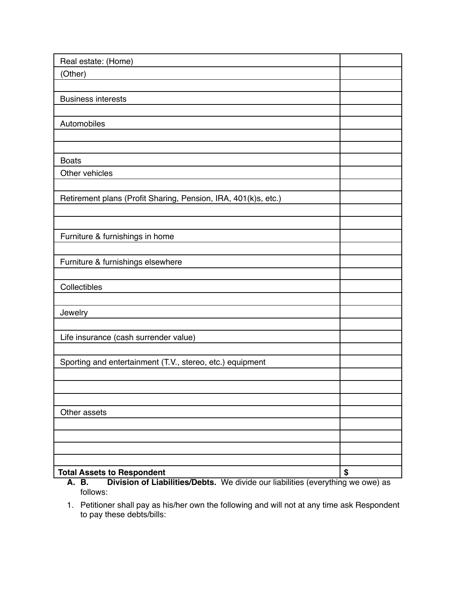| Real estate: (Home)                                                                                     |    |
|---------------------------------------------------------------------------------------------------------|----|
| (Other)                                                                                                 |    |
|                                                                                                         |    |
| <b>Business interests</b>                                                                               |    |
|                                                                                                         |    |
| Automobiles                                                                                             |    |
|                                                                                                         |    |
|                                                                                                         |    |
| <b>Boats</b>                                                                                            |    |
| Other vehicles                                                                                          |    |
|                                                                                                         |    |
| Retirement plans (Profit Sharing, Pension, IRA, 401(k)s, etc.)                                          |    |
|                                                                                                         |    |
|                                                                                                         |    |
| Furniture & furnishings in home                                                                         |    |
|                                                                                                         |    |
| Furniture & furnishings elsewhere                                                                       |    |
|                                                                                                         |    |
| Collectibles                                                                                            |    |
|                                                                                                         |    |
| Jewelry                                                                                                 |    |
|                                                                                                         |    |
| Life insurance (cash surrender value)                                                                   |    |
|                                                                                                         |    |
| Sporting and entertainment (T.V., stereo, etc.) equipment                                               |    |
|                                                                                                         |    |
|                                                                                                         |    |
|                                                                                                         |    |
| Other assets                                                                                            |    |
|                                                                                                         |    |
|                                                                                                         |    |
|                                                                                                         |    |
|                                                                                                         |    |
| <b>Total Assets to Respondent</b><br>Division of Lichilitica/Debte We divide<br>J<br>our lighilities le | \$ |

**A. B. Division of Liabilities/Debts.** We divide our liabilities (everything we owe) as follows:

1. Petitioner shall pay as his/her own the following and will not at any time ask Respondent to pay these debts/bills: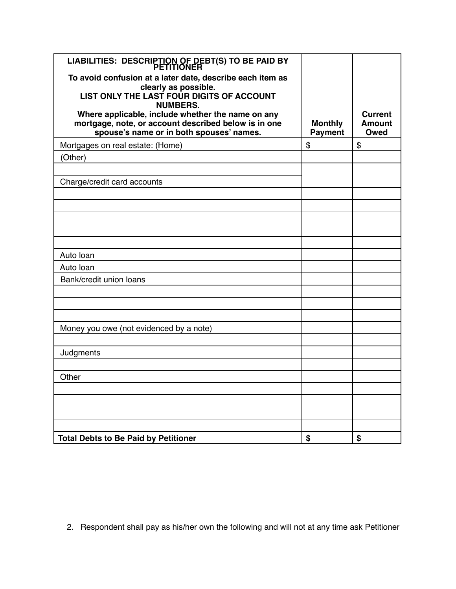| LIABILITIES: DESCRIPTION OF DEBT(S) TO BE PAID BY                                                                              |                                  |                       |
|--------------------------------------------------------------------------------------------------------------------------------|----------------------------------|-----------------------|
| To avoid confusion at a later date, describe each item as<br>clearly as possible.<br>LIST ONLY THE LAST FOUR DIGITS OF ACCOUNT |                                  |                       |
| <b>NUMBERS.</b><br>Where applicable, include whether the name on any                                                           |                                  | <b>Current</b>        |
| mortgage, note, or account described below is in one<br>spouse's name or in both spouses' names.                               | <b>Monthly</b><br><b>Payment</b> | <b>Amount</b><br>Owed |
| Mortgages on real estate: (Home)                                                                                               | \$                               | \$                    |
| (Other)                                                                                                                        |                                  |                       |
|                                                                                                                                |                                  |                       |
| Charge/credit card accounts                                                                                                    |                                  |                       |
|                                                                                                                                |                                  |                       |
|                                                                                                                                |                                  |                       |
|                                                                                                                                |                                  |                       |
|                                                                                                                                |                                  |                       |
|                                                                                                                                |                                  |                       |
| Auto loan                                                                                                                      |                                  |                       |
| Auto Ioan                                                                                                                      |                                  |                       |
| Bank/credit union loans                                                                                                        |                                  |                       |
|                                                                                                                                |                                  |                       |
|                                                                                                                                |                                  |                       |
|                                                                                                                                |                                  |                       |
| Money you owe (not evidenced by a note)                                                                                        |                                  |                       |
|                                                                                                                                |                                  |                       |
| Judgments                                                                                                                      |                                  |                       |
|                                                                                                                                |                                  |                       |
| Other                                                                                                                          |                                  |                       |
|                                                                                                                                |                                  |                       |
|                                                                                                                                |                                  |                       |
|                                                                                                                                |                                  |                       |
|                                                                                                                                |                                  |                       |
| <b>Total Debts to Be Paid by Petitioner</b>                                                                                    | \$                               | \$                    |

2. Respondent shall pay as his/her own the following and will not at any time ask Petitioner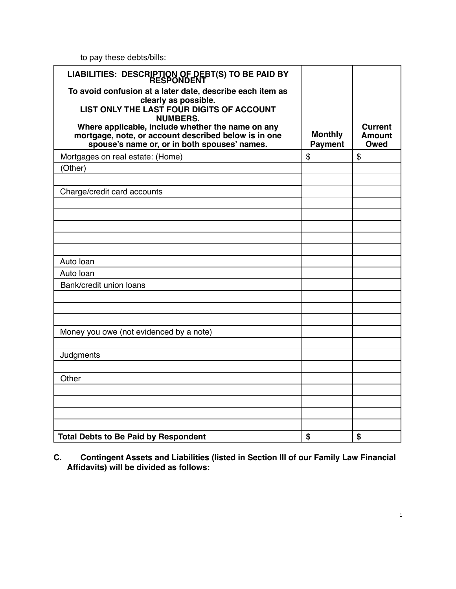to pay these debts/bills:

| LIABILITIES: DESCRIPTION OF DEBT(S) TO BE PAID BY<br><b>RESPONDEN1</b><br>To avoid confusion at a later date, describe each item as<br>clearly as possible.<br>LIST ONLY THE LAST FOUR DIGITS OF ACCOUNT<br><b>NUMBERS.</b><br>Where applicable, include whether the name on any<br>mortgage, note, or account described below is in one<br>spouse's name or, or in both spouses' names. | <b>Monthly</b><br><b>Payment</b> | <b>Current</b><br><b>Amount</b><br><b>Owed</b> |
|------------------------------------------------------------------------------------------------------------------------------------------------------------------------------------------------------------------------------------------------------------------------------------------------------------------------------------------------------------------------------------------|----------------------------------|------------------------------------------------|
| Mortgages on real estate: (Home)                                                                                                                                                                                                                                                                                                                                                         | \$                               | \$                                             |
| (Other)                                                                                                                                                                                                                                                                                                                                                                                  |                                  |                                                |
|                                                                                                                                                                                                                                                                                                                                                                                          |                                  |                                                |
| Charge/credit card accounts                                                                                                                                                                                                                                                                                                                                                              |                                  |                                                |
|                                                                                                                                                                                                                                                                                                                                                                                          |                                  |                                                |
|                                                                                                                                                                                                                                                                                                                                                                                          |                                  |                                                |
|                                                                                                                                                                                                                                                                                                                                                                                          |                                  |                                                |
|                                                                                                                                                                                                                                                                                                                                                                                          |                                  |                                                |
|                                                                                                                                                                                                                                                                                                                                                                                          |                                  |                                                |
| Auto loan                                                                                                                                                                                                                                                                                                                                                                                |                                  |                                                |
| Auto loan                                                                                                                                                                                                                                                                                                                                                                                |                                  |                                                |
| Bank/credit union loans                                                                                                                                                                                                                                                                                                                                                                  |                                  |                                                |
|                                                                                                                                                                                                                                                                                                                                                                                          |                                  |                                                |
|                                                                                                                                                                                                                                                                                                                                                                                          |                                  |                                                |
| Money you owe (not evidenced by a note)                                                                                                                                                                                                                                                                                                                                                  |                                  |                                                |
|                                                                                                                                                                                                                                                                                                                                                                                          |                                  |                                                |
| Judgments                                                                                                                                                                                                                                                                                                                                                                                |                                  |                                                |
|                                                                                                                                                                                                                                                                                                                                                                                          |                                  |                                                |
| Other                                                                                                                                                                                                                                                                                                                                                                                    |                                  |                                                |
|                                                                                                                                                                                                                                                                                                                                                                                          |                                  |                                                |
|                                                                                                                                                                                                                                                                                                                                                                                          |                                  |                                                |
|                                                                                                                                                                                                                                                                                                                                                                                          |                                  |                                                |
|                                                                                                                                                                                                                                                                                                                                                                                          |                                  |                                                |
| <b>Total Debts to Be Paid by Respondent</b>                                                                                                                                                                                                                                                                                                                                              | \$                               | \$                                             |

**C. Contingent Assets and Liabilities (listed in Section III of our Family Law Financial Affidavits) will be divided as follows:**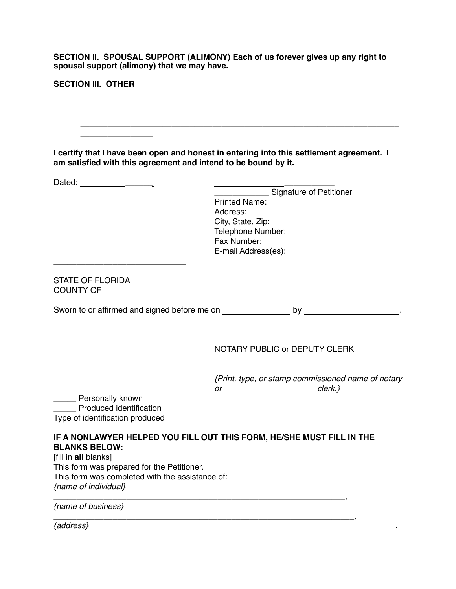**SECTION II. SPOUSAL SUPPORT (ALIMONY) Each of us forever gives up any right to spousal support (alimony) that we may have.**

# **SECTION III. OTHER**

| am satisfied with this agreement and intend to be bound by it.                                                                                                        | I certify that I have been open and honest in entering into this settlement agreement. I                                                    |
|-----------------------------------------------------------------------------------------------------------------------------------------------------------------------|---------------------------------------------------------------------------------------------------------------------------------------------|
|                                                                                                                                                                       |                                                                                                                                             |
|                                                                                                                                                                       | Signature of Petitioner<br><b>Printed Name:</b><br>Address:<br>City, State, Zip:<br>Telephone Number:<br>Fax Number:<br>E-mail Address(es): |
| <b>STATE OF FLORIDA</b><br><b>COUNTY OF</b>                                                                                                                           |                                                                                                                                             |
|                                                                                                                                                                       |                                                                                                                                             |
|                                                                                                                                                                       | NOTARY PUBLIC or DEPUTY CLERK                                                                                                               |
| <b>Example 1</b> Personally known                                                                                                                                     | {Print, type, or stamp commissioned name of notary<br>clerk.<br><b>or</b>                                                                   |
| <b>Produced identification</b><br>Type of identification produced                                                                                                     |                                                                                                                                             |
| <b>BLANKS BELOW:</b><br>[fill in all blanks]<br>This form was prepared for the Petitioner.<br>This form was completed with the assistance of:<br>{name of individual} | IF A NONLAWYER HELPED YOU FILL OUT THIS FORM, HE/SHE MUST FILL IN THE                                                                       |
| {name of business}                                                                                                                                                    |                                                                                                                                             |
| {address}_                                                                                                                                                            |                                                                                                                                             |